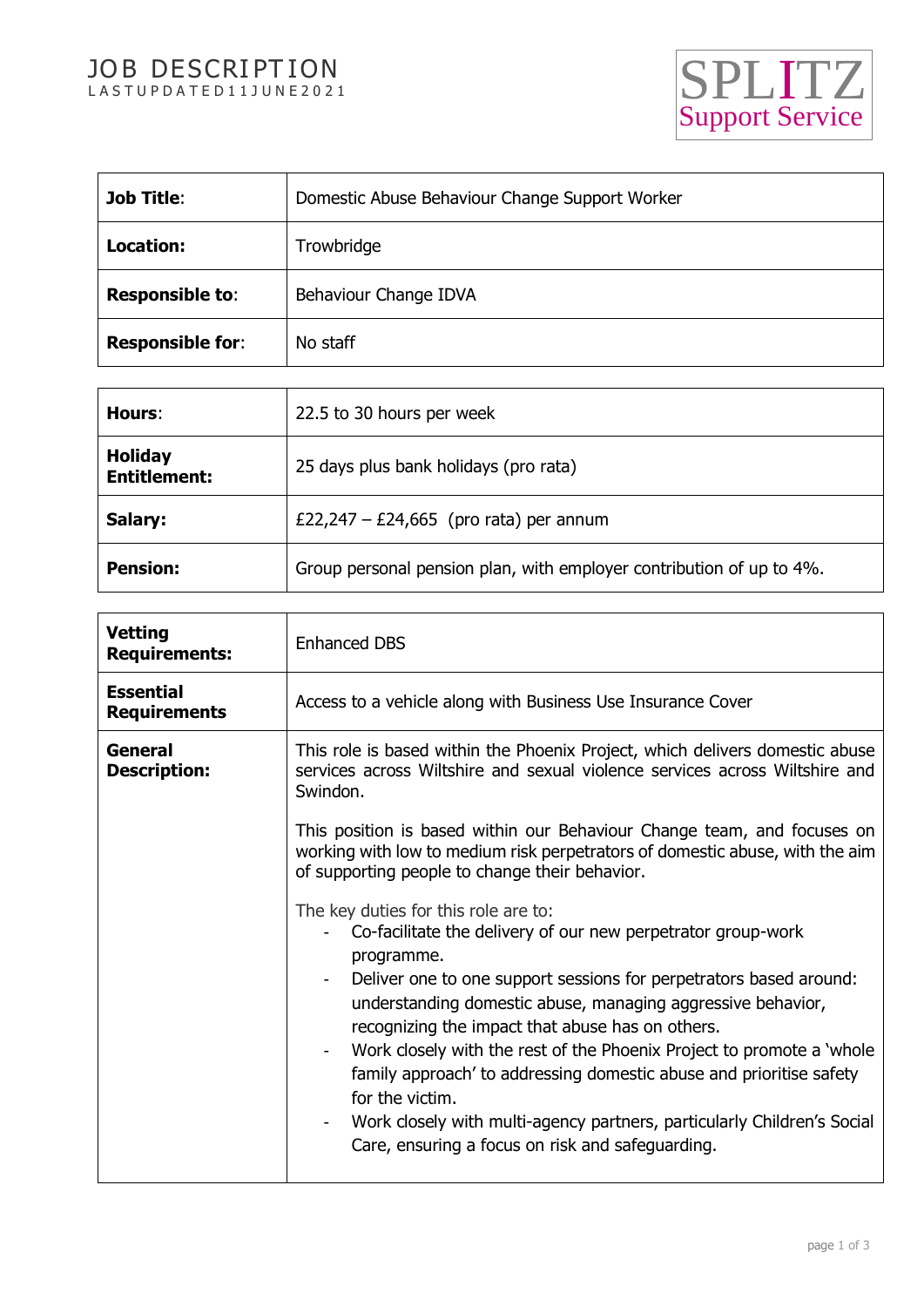# JOB DESCRIPTION JOB DESCRIPTION<br>LASTUPDATED11JUNE2021 SPLITZ



| <b>Job Title:</b>       | Domestic Abuse Behaviour Change Support Worker |
|-------------------------|------------------------------------------------|
| Location:               | Trowbridge                                     |
| <b>Responsible to:</b>  | Behaviour Change IDVA                          |
| <b>Responsible for:</b> | No staff                                       |

| Hours:                                | 22.5 to 30 hours per week                                            |
|---------------------------------------|----------------------------------------------------------------------|
| <b>Holiday</b><br><b>Entitlement:</b> | 25 days plus bank holidays (pro rata)                                |
| Salary:                               | £22,247 – £24,665 (pro rata) per annum                               |
| <b>Pension:</b>                       | Group personal pension plan, with employer contribution of up to 4%. |

| <b>Vetting</b><br><b>Enhanced DBS</b><br><b>Requirements:</b><br><b>Essential</b><br>Access to a vehicle along with Business Use Insurance Cover<br><b>Requirements</b><br>General<br>This role is based within the Phoenix Project, which delivers domestic abuse<br>services across Wiltshire and sexual violence services across Wiltshire and<br><b>Description:</b><br>Swindon.<br>This position is based within our Behaviour Change team, and focuses on<br>working with low to medium risk perpetrators of domestic abuse, with the aim<br>of supporting people to change their behavior.<br>The key duties for this role are to:<br>Co-facilitate the delivery of our new perpetrator group-work<br>programme.<br>Deliver one to one support sessions for perpetrators based around:<br>understanding domestic abuse, managing aggressive behavior,<br>recognizing the impact that abuse has on others.<br>Work closely with the rest of the Phoenix Project to promote a 'whole<br>family approach' to addressing domestic abuse and prioritise safety<br>for the victim.<br>Work closely with multi-agency partners, particularly Children's Social<br>Care, ensuring a focus on risk and safeguarding. |  |
|--------------------------------------------------------------------------------------------------------------------------------------------------------------------------------------------------------------------------------------------------------------------------------------------------------------------------------------------------------------------------------------------------------------------------------------------------------------------------------------------------------------------------------------------------------------------------------------------------------------------------------------------------------------------------------------------------------------------------------------------------------------------------------------------------------------------------------------------------------------------------------------------------------------------------------------------------------------------------------------------------------------------------------------------------------------------------------------------------------------------------------------------------------------------------------------------------------------------|--|
|                                                                                                                                                                                                                                                                                                                                                                                                                                                                                                                                                                                                                                                                                                                                                                                                                                                                                                                                                                                                                                                                                                                                                                                                                    |  |
|                                                                                                                                                                                                                                                                                                                                                                                                                                                                                                                                                                                                                                                                                                                                                                                                                                                                                                                                                                                                                                                                                                                                                                                                                    |  |
|                                                                                                                                                                                                                                                                                                                                                                                                                                                                                                                                                                                                                                                                                                                                                                                                                                                                                                                                                                                                                                                                                                                                                                                                                    |  |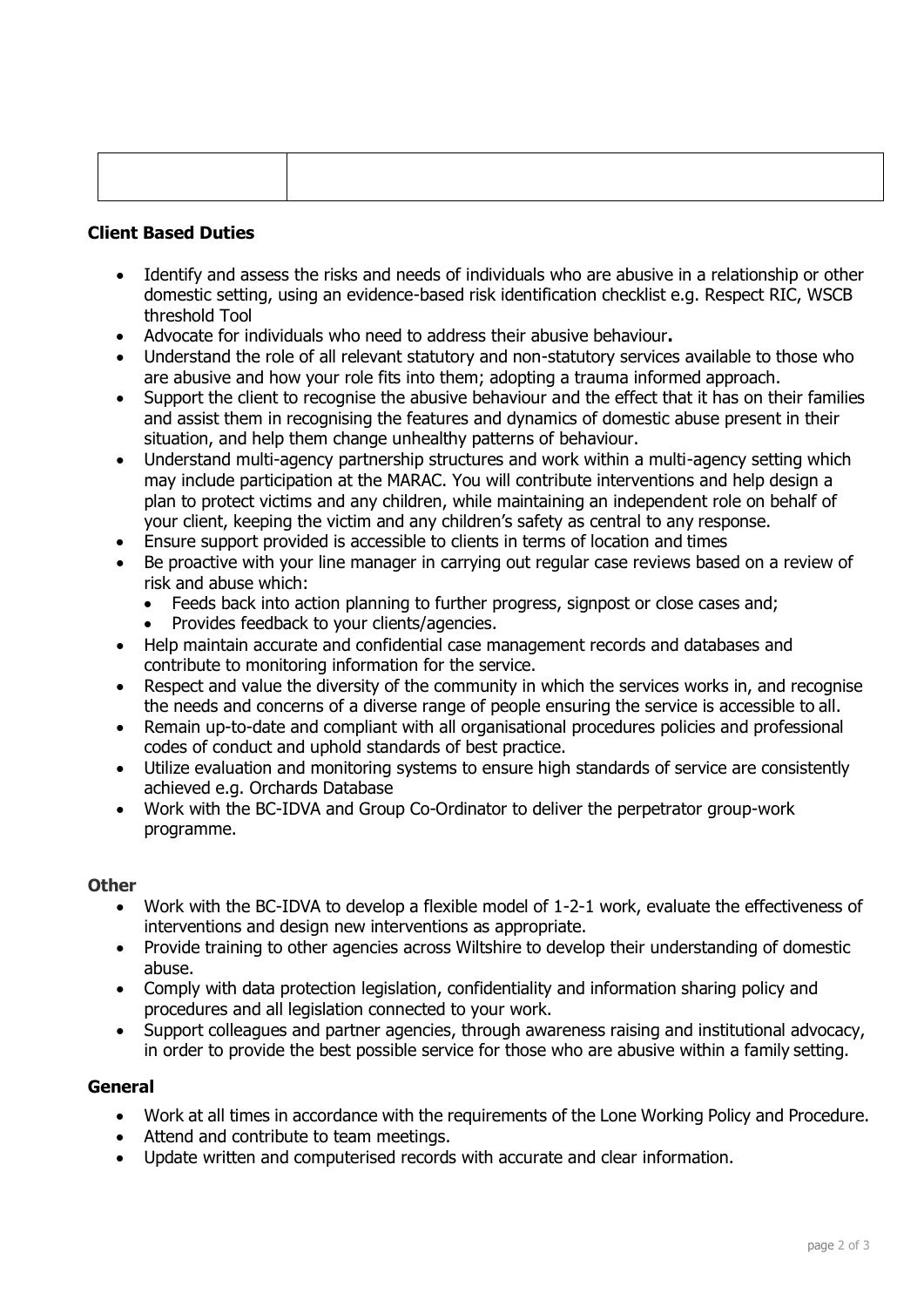## **Client Based Duties**

- Identify and assess the risks and needs of individuals who are abusive in a relationship or other domestic setting, using an evidence-based risk identification checklist e.g. Respect RIC, WSCB threshold Tool
- Advocate for individuals who need to address their abusive behaviour**.**
- Understand the role of all relevant statutory and non-statutory services available to those who are abusive and how your role fits into them; adopting a trauma informed approach.
- Support the client to recognise the abusive behaviour and the effect that it has on their families and assist them in recognising the features and dynamics of domestic abuse present in their situation, and help them change unhealthy patterns of behaviour.
- Understand multi-agency partnership structures and work within a multi-agency setting which may include participation at the MARAC. You will contribute interventions and help design a plan to protect victims and any children, while maintaining an independent role on behalf of your client, keeping the victim and any children's safety as central to any response.
- Ensure support provided is accessible to clients in terms of location and times
- Be proactive with your line manager in carrying out regular case reviews based on a review of risk and abuse which:
	- Feeds back into action planning to further progress, signpost or close cases and;
	- Provides feedback to your clients/agencies.
- Help maintain accurate and confidential case management records and databases and contribute to monitoring information for the service.
- Respect and value the diversity of the community in which the services works in, and recognise the needs and concerns of a diverse range of people ensuring the service is accessible to all.
- Remain up-to-date and compliant with all organisational procedures policies and professional codes of conduct and uphold standards of best practice.
- Utilize evaluation and monitoring systems to ensure high standards of service are consistently achieved e.g. Orchards Database
- Work with the BC-IDVA and Group Co-Ordinator to deliver the perpetrator group-work programme.

#### **Other**

- Work with the BC-IDVA to develop a flexible model of 1-2-1 work, evaluate the effectiveness of interventions and design new interventions as appropriate.
- Provide training to other agencies across Wiltshire to develop their understanding of domestic abuse.
- Comply with data protection legislation, confidentiality and information sharing policy and procedures and all legislation connected to your work.
- Support colleagues and partner agencies, through awareness raising and institutional advocacy, in order to provide the best possible service for those who are abusive within a family setting.

#### **General**

- Work at all times in accordance with the requirements of the Lone Working Policy and Procedure.
- Attend and contribute to team meetings.
- Update written and computerised records with accurate and clear information.